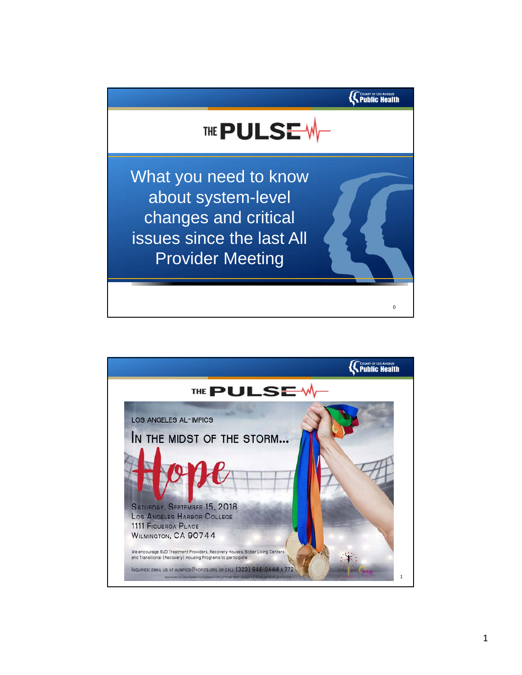

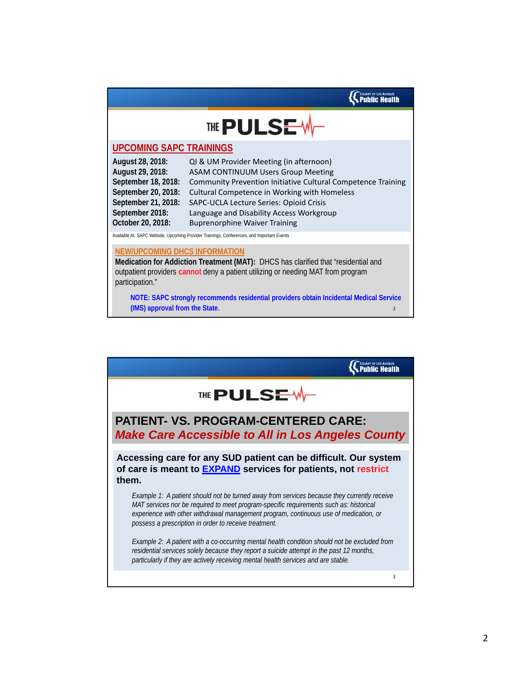

## **UPCOMING SAPC TRAININGS**

| August 28, 2018:    | QI & UM Provider Meeting (in afternoon)                      |
|---------------------|--------------------------------------------------------------|
| August 29, 2018:    | <b>ASAM CONTINUUM Users Group Meeting</b>                    |
| September 18, 2018: | Community Prevention Initiative Cultural Competence Training |
| September 20, 2018: | Cultural Competence in Working with Homeless                 |
| September 21, 2018: | SAPC-UCLA Lecture Series: Opioid Crisis                      |
| September 2018:     | Language and Disability Access Workgroup                     |
| October 20, 2018:   | <b>Buprenorphine Waiver Training</b>                         |

Available At: SAPC Website, Upcoming Provider Trainings, Conferences, and Important Events

#### **NEW/UPCOMING DHCS INFORMATION**

**Medication for Addiction Treatment (MAT):** DHCS has clarified that "residential and outpatient providers **cannot** deny a patient utilizing or needing MAT from program participation."

**NOTE: SAPC strongly recommends residential providers obtain Incidental Medical Service (IMS) approval from the State**. <sup>2</sup>

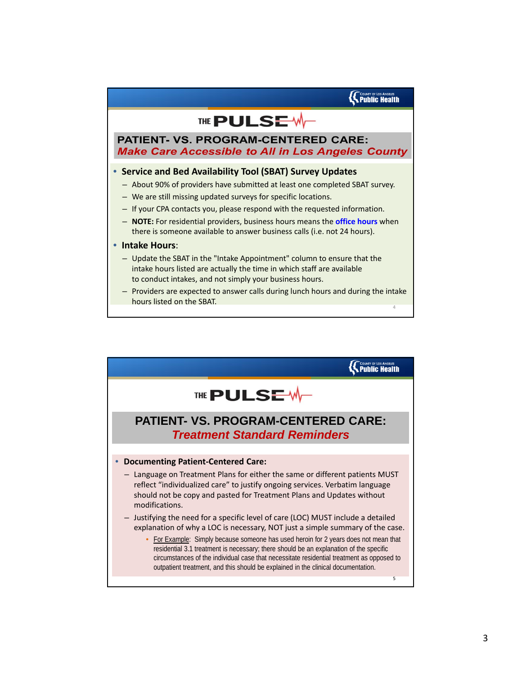# THE PULSE W

### **PATIENT- VS. PROGRAM-CENTERED CARE: Make Care Accessible to All in Los Angeles County**

### • **Service and Bed Availability Tool (SBAT) Survey Updates**

- About 90% of providers have submitted at least one completed SBAT survey.
- We are still missing updated surveys for specific locations.
- If your CPA contacts you, please respond with the requested information.
- **NOTE:** For residential providers, business hours means the **office hours** when there is someone available to answer business calls (i.e. not 24 hours).
- **Intake Hours**:
	- Update the SBAT in the "Intake Appointment" column to ensure that the intake hours listed are actually the time in which staff are available to conduct intakes, and not simply your business hours.
	- Providers are expected to answer calls during lunch hours and during the intake hours listed on the SBAT. <sup>4</sup>

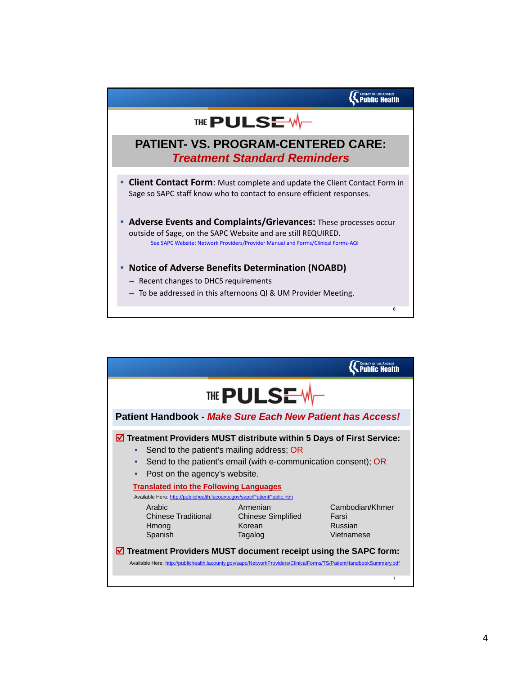